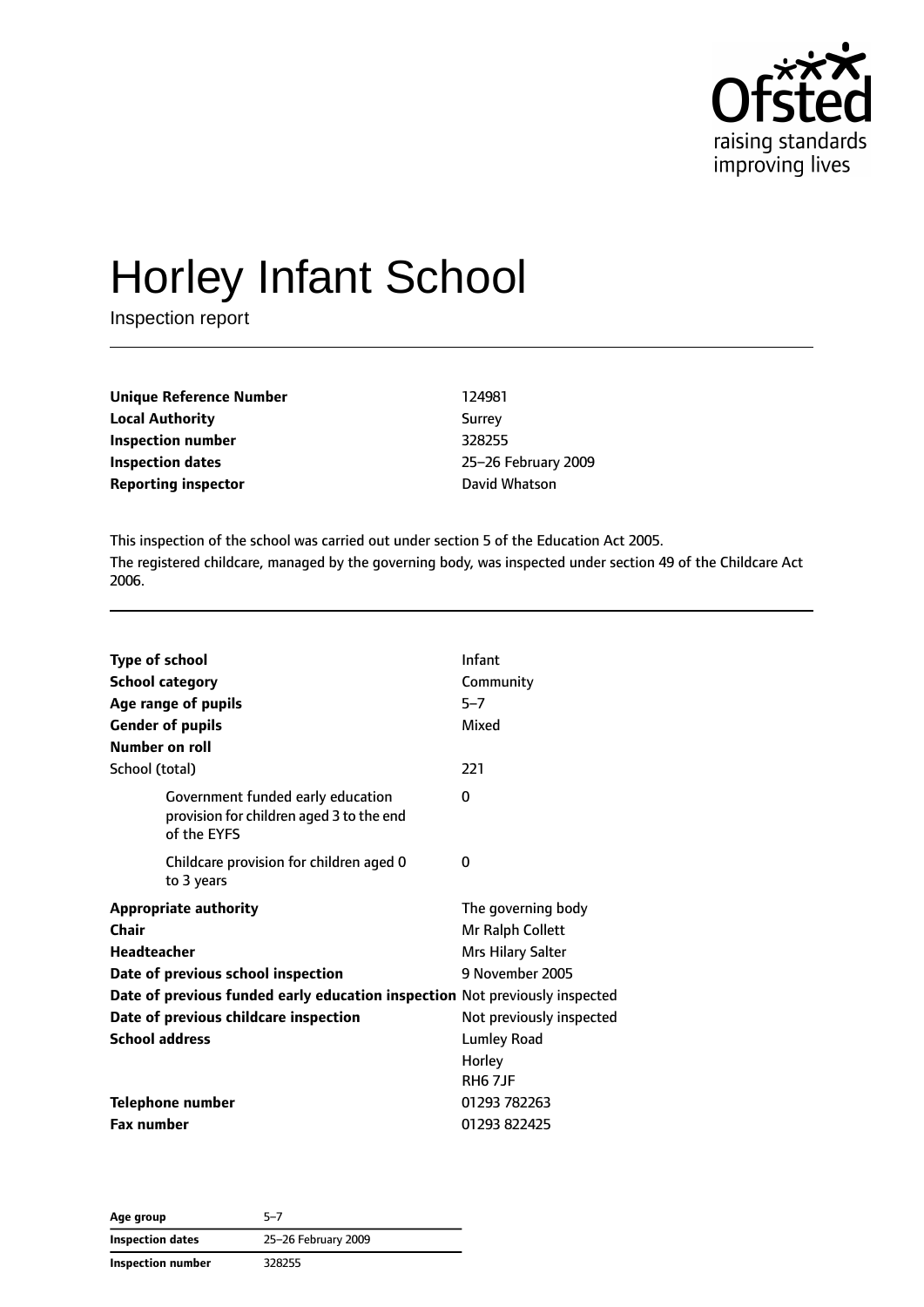

# Horley Infant School

Inspection report

| <b>Unique Reference Number</b> | 124981         |
|--------------------------------|----------------|
| <b>Local Authority</b>         | Surrey         |
| Inspection number              | 328255         |
| Inspection dates               | 25-26 February |
| <b>Reporting inspector</b>     | David Whatson  |

**Inspection number** 328255 **Inspection dates** 25–26 February 2009

This inspection of the school was carried out under section 5 of the Education Act 2005. The registered childcare, managed by the governing body, was inspected under section 49 of the Childcare Act 2006.

| <b>Type of school</b><br><b>School category</b><br>Age range of pupils<br><b>Gender of pupils</b><br>Number on roll                                                                                                                                | Infant<br>Community<br>$5 - 7$<br>Mixed                                                                                                                    |
|----------------------------------------------------------------------------------------------------------------------------------------------------------------------------------------------------------------------------------------------------|------------------------------------------------------------------------------------------------------------------------------------------------------------|
| School (total)                                                                                                                                                                                                                                     | 221                                                                                                                                                        |
| Government funded early education<br>provision for children aged 3 to the end<br>of the EYFS                                                                                                                                                       | 0                                                                                                                                                          |
| Childcare provision for children aged 0<br>to 3 years                                                                                                                                                                                              | 0                                                                                                                                                          |
| <b>Appropriate authority</b><br>Chair<br><b>Headteacher</b><br>Date of previous school inspection<br>Date of previous funded early education inspection Not previously inspected<br>Date of previous childcare inspection<br><b>School address</b> | The governing body<br>Mr Ralph Collett<br>Mrs Hilary Salter<br>9 November 2005<br>Not previously inspected<br>Lumley Road<br>Horley<br>RH <sub>6</sub> 7JF |
| Telephone number                                                                                                                                                                                                                                   | 01293 782263                                                                                                                                               |
| <b>Fax number</b>                                                                                                                                                                                                                                  | 01293 822425                                                                                                                                               |

**Age group** 5–7 **Inspection dates** 25–26 February 2009 **Inspection number** 328255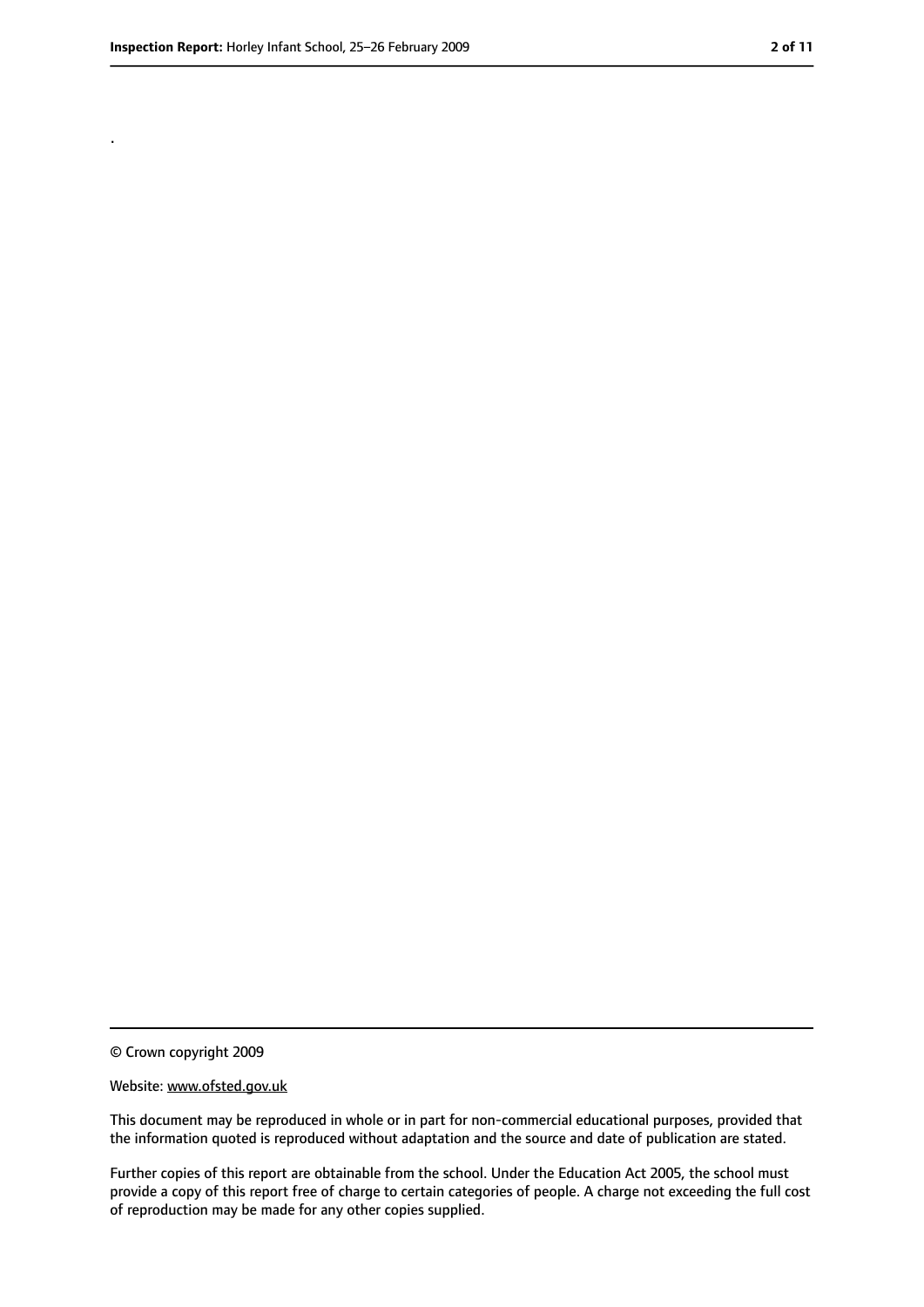.

<sup>©</sup> Crown copyright 2009

Website: www.ofsted.gov.uk

This document may be reproduced in whole or in part for non-commercial educational purposes, provided that the information quoted is reproduced without adaptation and the source and date of publication are stated.

Further copies of this report are obtainable from the school. Under the Education Act 2005, the school must provide a copy of this report free of charge to certain categories of people. A charge not exceeding the full cost of reproduction may be made for any other copies supplied.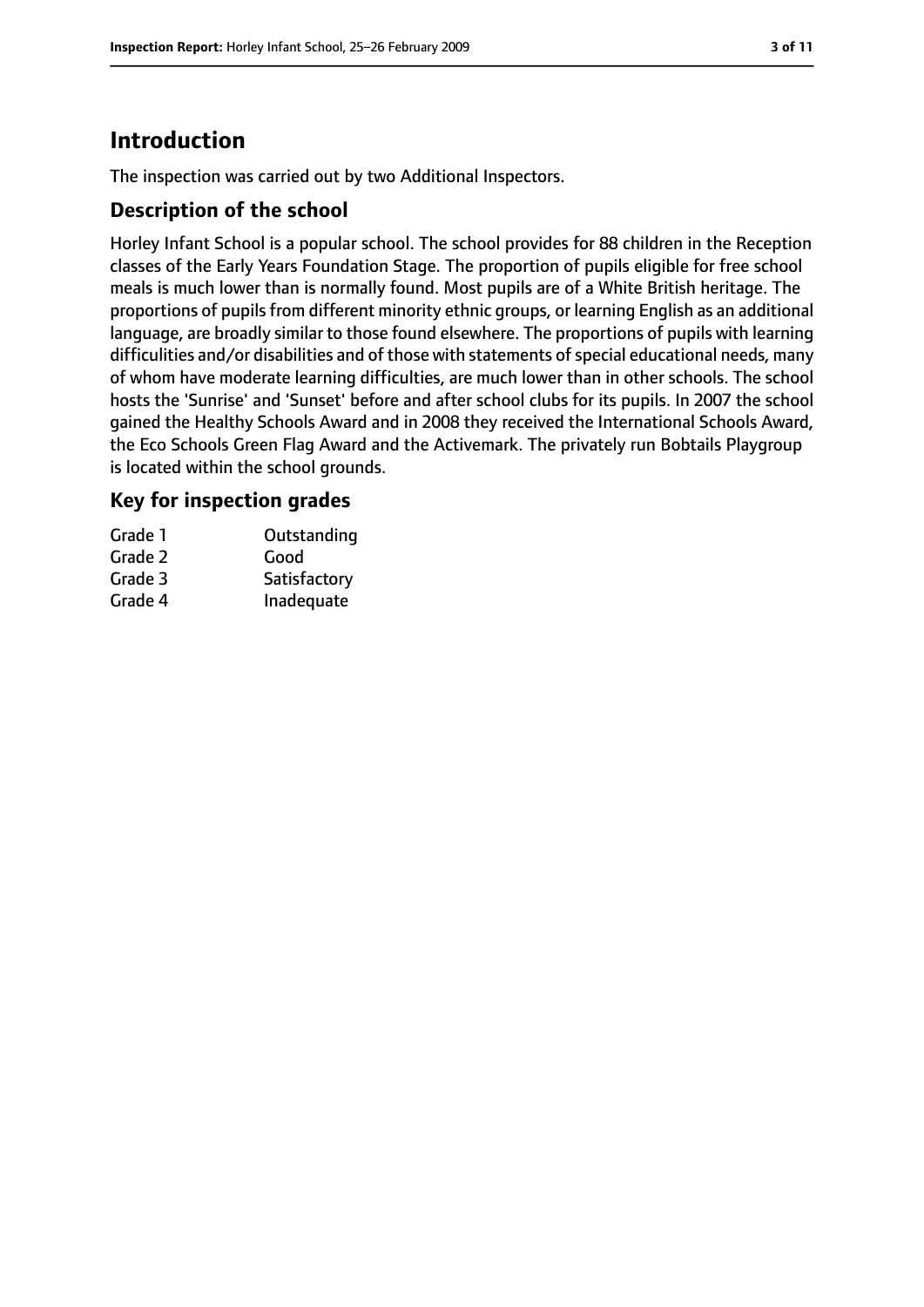# **Introduction**

The inspection was carried out by two Additional Inspectors.

## **Description of the school**

Horley Infant School is a popular school. The school provides for 88 children in the Reception classes of the Early Years Foundation Stage. The proportion of pupils eligible for free school meals is much lower than is normally found. Most pupils are of a White British heritage. The proportions of pupils from different minority ethnic groups, or learning English as an additional language, are broadly similar to those found elsewhere. The proportions of pupils with learning difficulities and/or disabilities and of those with statements of special educational needs, many of whom have moderate learning difficulties, are much lower than in other schools. The school hosts the 'Sunrise' and 'Sunset' before and after school clubs for its pupils. In 2007 the school gained the Healthy Schools Award and in 2008 they received the International Schools Award, the Eco Schools Green Flag Award and the Activemark. The privately run Bobtails Playgroup is located within the school grounds.

## **Key for inspection grades**

| Grade 1 | Outstanding  |
|---------|--------------|
| Grade 2 | Good         |
| Grade 3 | Satisfactory |
| Grade 4 | Inadequate   |
|         |              |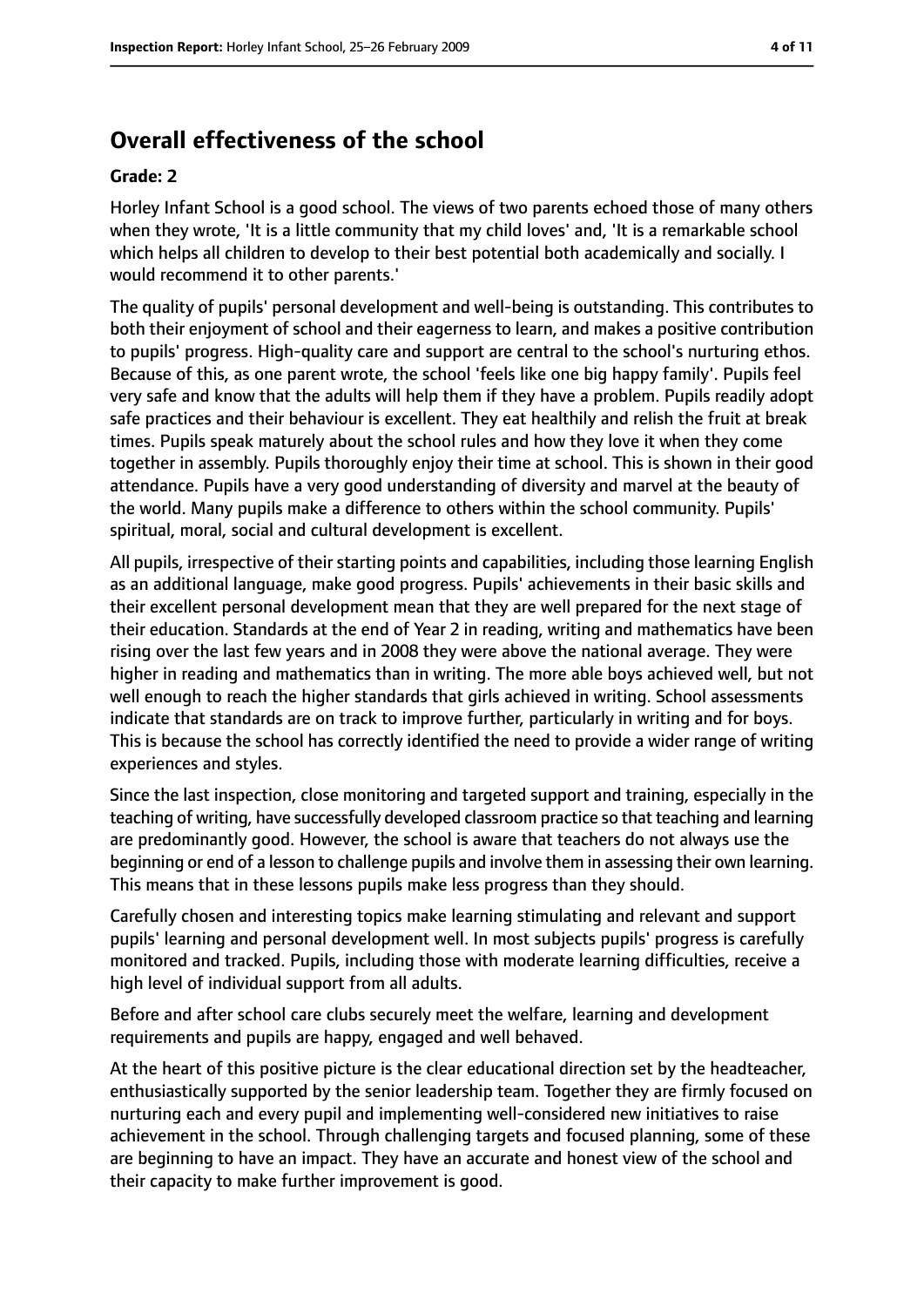# **Overall effectiveness of the school**

#### **Grade: 2**

Horley Infant School is a good school. The views of two parents echoed those of many others when they wrote, 'It is a little community that my child loves' and, 'It is a remarkable school which helps all children to develop to their best potential both academically and socially. I would recommend it to other parents.'

The quality of pupils' personal development and well-being is outstanding. This contributes to both their enjoyment of school and their eagerness to learn, and makes a positive contribution to pupils' progress. High-quality care and support are central to the school's nurturing ethos. Because of this, as one parent wrote, the school 'feels like one big happy family'. Pupils feel very safe and know that the adults will help them if they have a problem. Pupils readily adopt safe practices and their behaviour is excellent. They eat healthily and relish the fruit at break times. Pupils speak maturely about the school rules and how they love it when they come together in assembly. Pupils thoroughly enjoy their time at school. This is shown in their good attendance. Pupils have a very good understanding of diversity and marvel at the beauty of the world. Many pupils make a difference to others within the school community. Pupils' spiritual, moral, social and cultural development is excellent.

All pupils, irrespective of their starting points and capabilities, including those learning English as an additional language, make good progress. Pupils' achievements in their basic skills and their excellent personal development mean that they are well prepared for the next stage of their education. Standards at the end of Year 2 in reading, writing and mathematics have been rising over the last few years and in 2008 they were above the national average. They were higher in reading and mathematics than in writing. The more able boys achieved well, but not well enough to reach the higher standards that girls achieved in writing. School assessments indicate that standards are on track to improve further, particularly in writing and for boys. This is because the school has correctly identified the need to provide a wider range of writing experiences and styles.

Since the last inspection, close monitoring and targeted support and training, especially in the teaching of writing, have successfully developed classroom practice so that teaching and learning are predominantly good. However, the school is aware that teachers do not always use the beginning or end of a lesson to challenge pupils and involve them in assessing their own learning. This means that in these lessons pupils make less progress than they should.

Carefully chosen and interesting topics make learning stimulating and relevant and support pupils' learning and personal development well. In most subjects pupils' progress is carefully monitored and tracked. Pupils, including those with moderate learning difficulties, receive a high level of individual support from all adults.

Before and after school care clubs securely meet the welfare, learning and development requirements and pupils are happy, engaged and well behaved.

At the heart of this positive picture is the clear educational direction set by the headteacher, enthusiastically supported by the senior leadership team. Together they are firmly focused on nurturing each and every pupil and implementing well-considered new initiatives to raise achievement in the school. Through challenging targets and focused planning, some of these are beginning to have an impact. They have an accurate and honest view of the school and their capacity to make further improvement is good.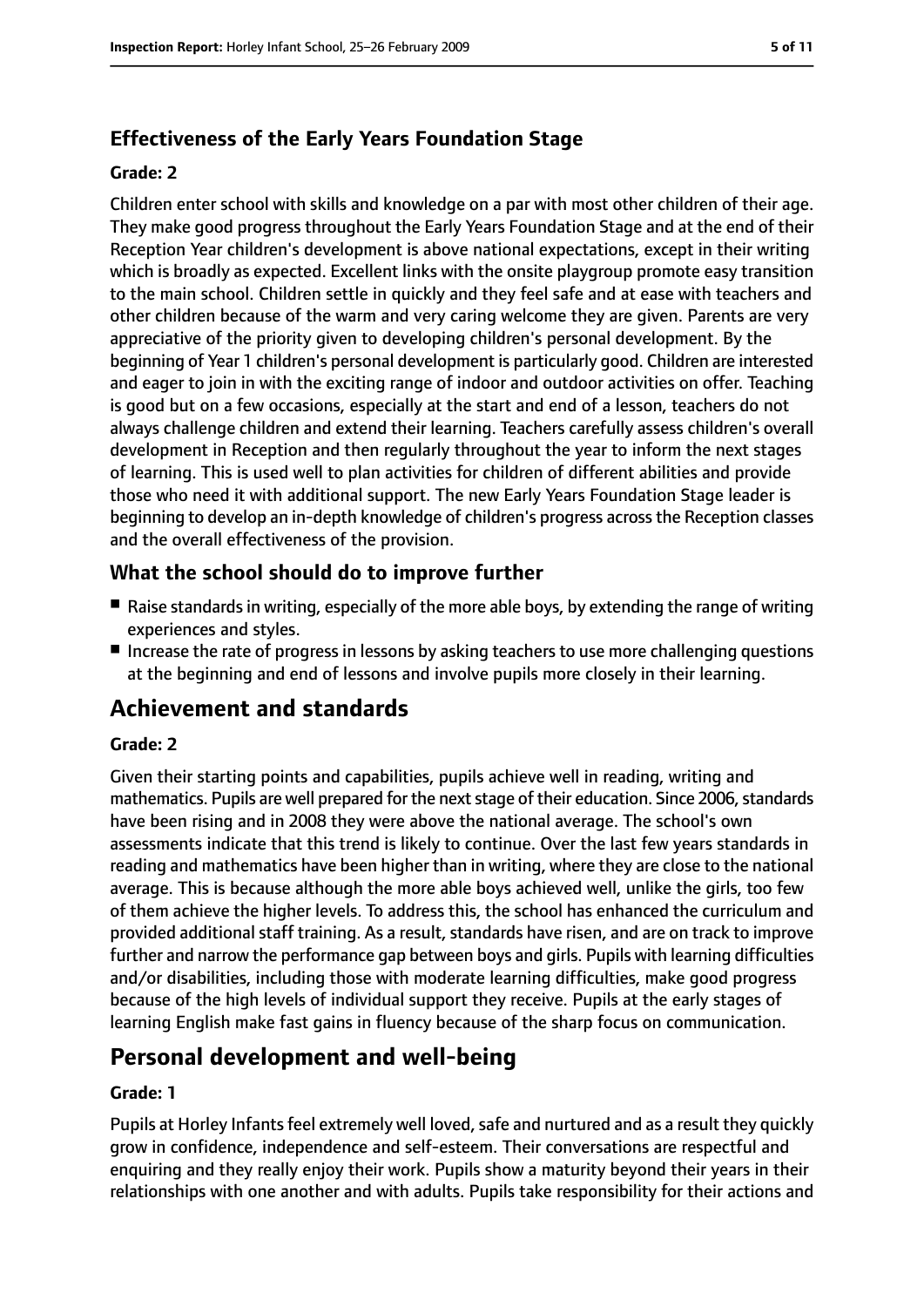## **Effectiveness of the Early Years Foundation Stage**

#### **Grade: 2**

Children enter school with skills and knowledge on a par with most other children of their age. They make good progress throughout the Early Years Foundation Stage and at the end of their Reception Year children's development is above national expectations, except in their writing which is broadly as expected. Excellent links with the onsite playgroup promote easy transition to the main school. Children settle in quickly and they feel safe and at ease with teachers and other children because of the warm and very caring welcome they are given. Parents are very appreciative of the priority given to developing children's personal development. By the beginning of Year 1 children's personal development is particularly good. Children are interested and eager to join in with the exciting range of indoor and outdoor activities on offer. Teaching is good but on a few occasions, especially at the start and end of a lesson, teachers do not always challenge children and extend their learning. Teachers carefully assess children's overall development in Reception and then regularly throughout the year to inform the next stages of learning. This is used well to plan activities for children of different abilities and provide those who need it with additional support. The new Early Years Foundation Stage leader is beginning to develop an in-depth knowledge of children's progress acrossthe Reception classes and the overall effectiveness of the provision.

## **What the school should do to improve further**

- Raise standards in writing, especially of the more able boys, by extending the range of writing experiences and styles.
- Increase the rate of progress in lessons by asking teachers to use more challenging questions at the beginning and end of lessons and involve pupils more closely in their learning.

# **Achievement and standards**

#### **Grade: 2**

Given their starting points and capabilities, pupils achieve well in reading, writing and mathematics. Pupils are well prepared for the next stage of their education. Since 2006, standards have been rising and in 2008 they were above the national average. The school's own assessments indicate that this trend is likely to continue. Over the last few years standards in reading and mathematics have been higher than in writing, where they are close to the national average. This is because although the more able boys achieved well, unlike the girls, too few of them achieve the higher levels. To address this, the school has enhanced the curriculum and provided additional staff training. As a result, standards have risen, and are on track to improve further and narrow the performance gap between boys and girls. Pupils with learning difficulties and/or disabilities, including those with moderate learning difficulties, make good progress because of the high levels of individual support they receive. Pupils at the early stages of learning English make fast gains in fluency because of the sharp focus on communication.

# **Personal development and well-being**

#### **Grade: 1**

Pupils at Horley Infants feel extremely well loved, safe and nurtured and as a result they quickly grow in confidence, independence and self-esteem. Their conversations are respectful and enquiring and they really enjoy their work. Pupils show a maturity beyond their years in their relationships with one another and with adults. Pupils take responsibility for their actions and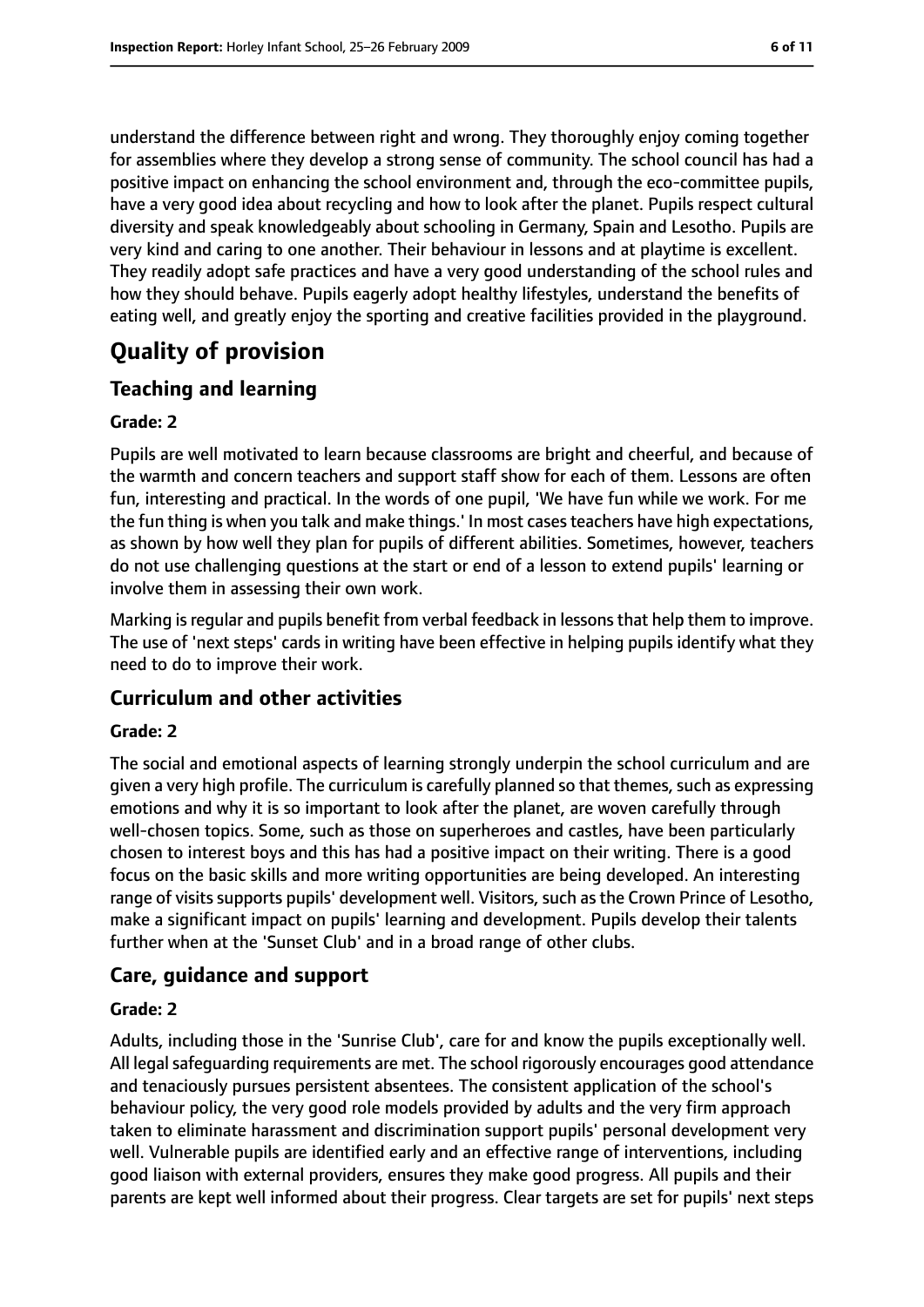understand the difference between right and wrong. They thoroughly enjoy coming together for assemblies where they develop a strong sense of community. The school council has had a positive impact on enhancing the school environment and, through the eco-committee pupils, have a very good idea about recycling and how to look after the planet. Pupils respect cultural diversity and speak knowledgeably about schooling in Germany, Spain and Lesotho. Pupils are very kind and caring to one another. Their behaviour in lessons and at playtime is excellent. They readily adopt safe practices and have a very good understanding of the school rules and how they should behave. Pupils eagerly adopt healthy lifestyles, understand the benefits of eating well, and greatly enjoy the sporting and creative facilities provided in the playground.

# **Quality of provision**

## **Teaching and learning**

#### **Grade: 2**

Pupils are well motivated to learn because classrooms are bright and cheerful, and because of the warmth and concern teachers and support staff show for each of them. Lessons are often fun, interesting and practical. In the words of one pupil, 'We have fun while we work. For me the fun thing is when you talk and make things.' In most casesteachers have high expectations, as shown by how well they plan for pupils of different abilities. Sometimes, however, teachers do not use challenging questions at the start or end of a lesson to extend pupils' learning or involve them in assessing their own work.

Marking is regular and pupils benefit from verbal feedback in lessons that help them to improve. The use of 'next steps' cards in writing have been effective in helping pupils identify what they need to do to improve their work.

## **Curriculum and other activities**

#### **Grade: 2**

The social and emotional aspects of learning strongly underpin the school curriculum and are given a very high profile. The curriculum is carefully planned so that themes, such as expressing emotions and why it is so important to look after the planet, are woven carefully through well-chosen topics. Some, such as those on superheroes and castles, have been particularly chosen to interest boys and this has had a positive impact on their writing. There is a good focus on the basic skills and more writing opportunities are being developed. An interesting range of visits supports pupils' development well. Visitors, such as the Crown Prince of Lesotho, make a significant impact on pupils' learning and development. Pupils develop their talents further when at the 'Sunset Club' and in a broad range of other clubs.

#### **Care, guidance and support**

#### **Grade: 2**

Adults, including those in the 'Sunrise Club', care for and know the pupils exceptionally well. All legal safeguarding requirements are met. The school rigorously encourages good attendance and tenaciously pursues persistent absentees. The consistent application of the school's behaviour policy, the very good role models provided by adults and the very firm approach taken to eliminate harassment and discrimination support pupils' personal development very well. Vulnerable pupils are identified early and an effective range of interventions, including good liaison with external providers, ensures they make good progress. All pupils and their parents are kept well informed about their progress. Clear targets are set for pupils' next steps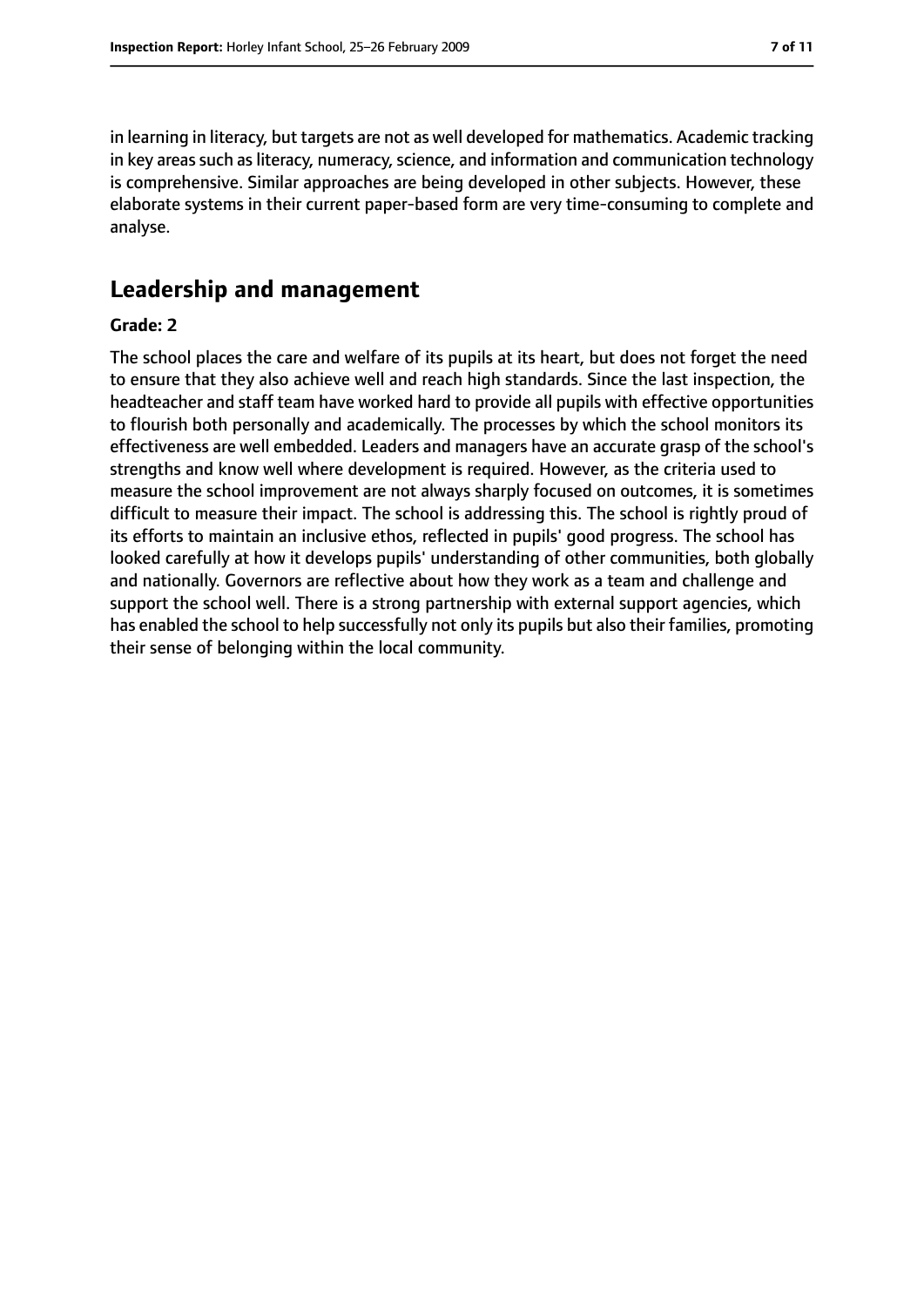in learning in literacy, but targets are not as well developed for mathematics. Academic tracking in key areas such as literacy, numeracy, science, and information and communication technology is comprehensive. Similar approaches are being developed in other subjects. However, these elaborate systems in their current paper-based form are very time-consuming to complete and analyse.

# **Leadership and management**

#### **Grade: 2**

The school places the care and welfare of its pupils at its heart, but does not forget the need to ensure that they also achieve well and reach high standards. Since the last inspection, the headteacher and staff team have worked hard to provide all pupils with effective opportunities to flourish both personally and academically. The processes by which the school monitors its effectiveness are well embedded. Leaders and managers have an accurate grasp of the school's strengths and know well where development is required. However, as the criteria used to measure the school improvement are not always sharply focused on outcomes, it is sometimes difficult to measure their impact. The school is addressing this. The school is rightly proud of its efforts to maintain an inclusive ethos, reflected in pupils' good progress. The school has looked carefully at how it develops pupils' understanding of other communities, both globally and nationally. Governors are reflective about how they work as a team and challenge and support the school well. There is a strong partnership with external support agencies, which has enabled the school to help successfully not only its pupils but also their families, promoting their sense of belonging within the local community.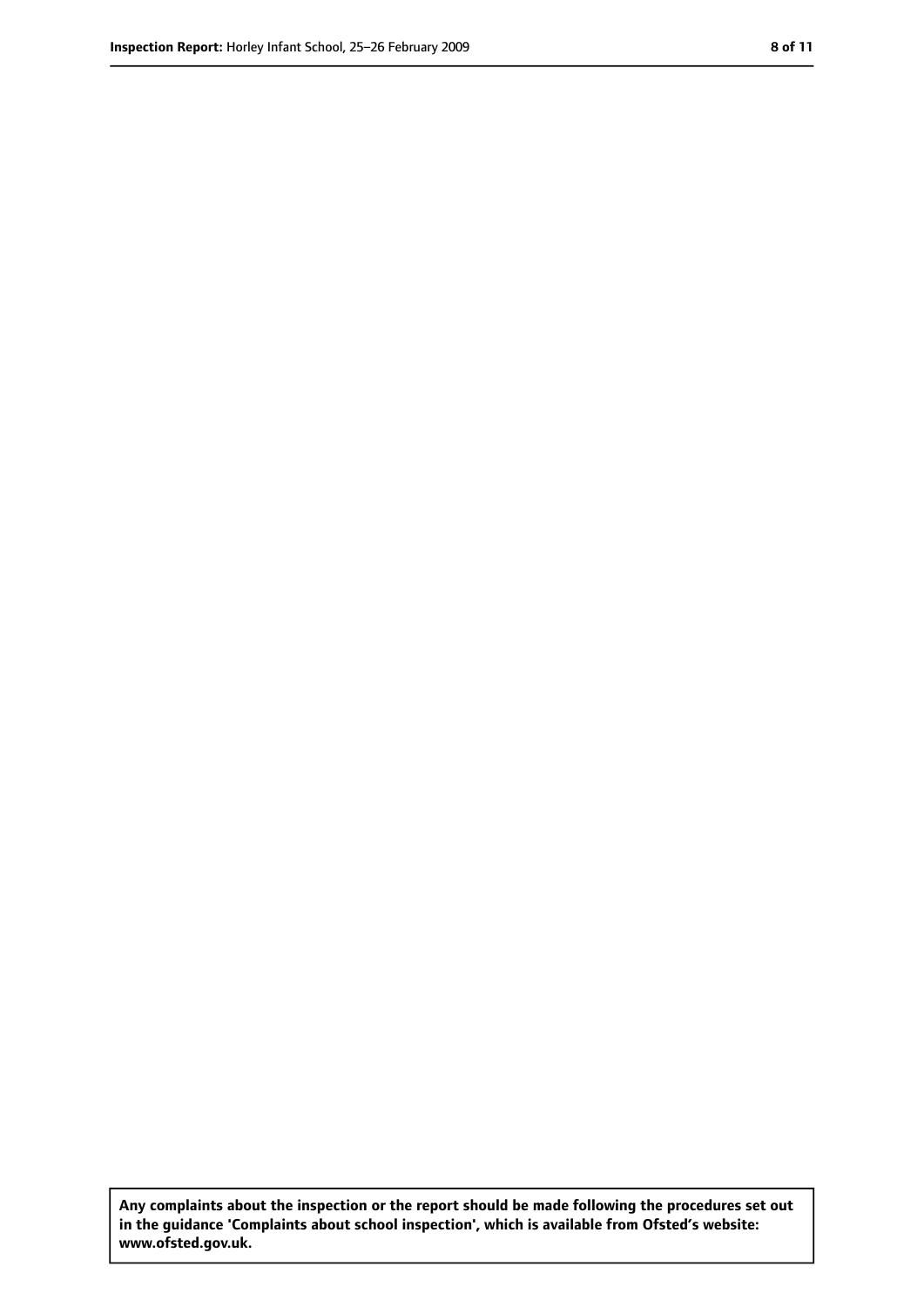**Any complaints about the inspection or the report should be made following the procedures set out in the guidance 'Complaints about school inspection', which is available from Ofsted's website: www.ofsted.gov.uk.**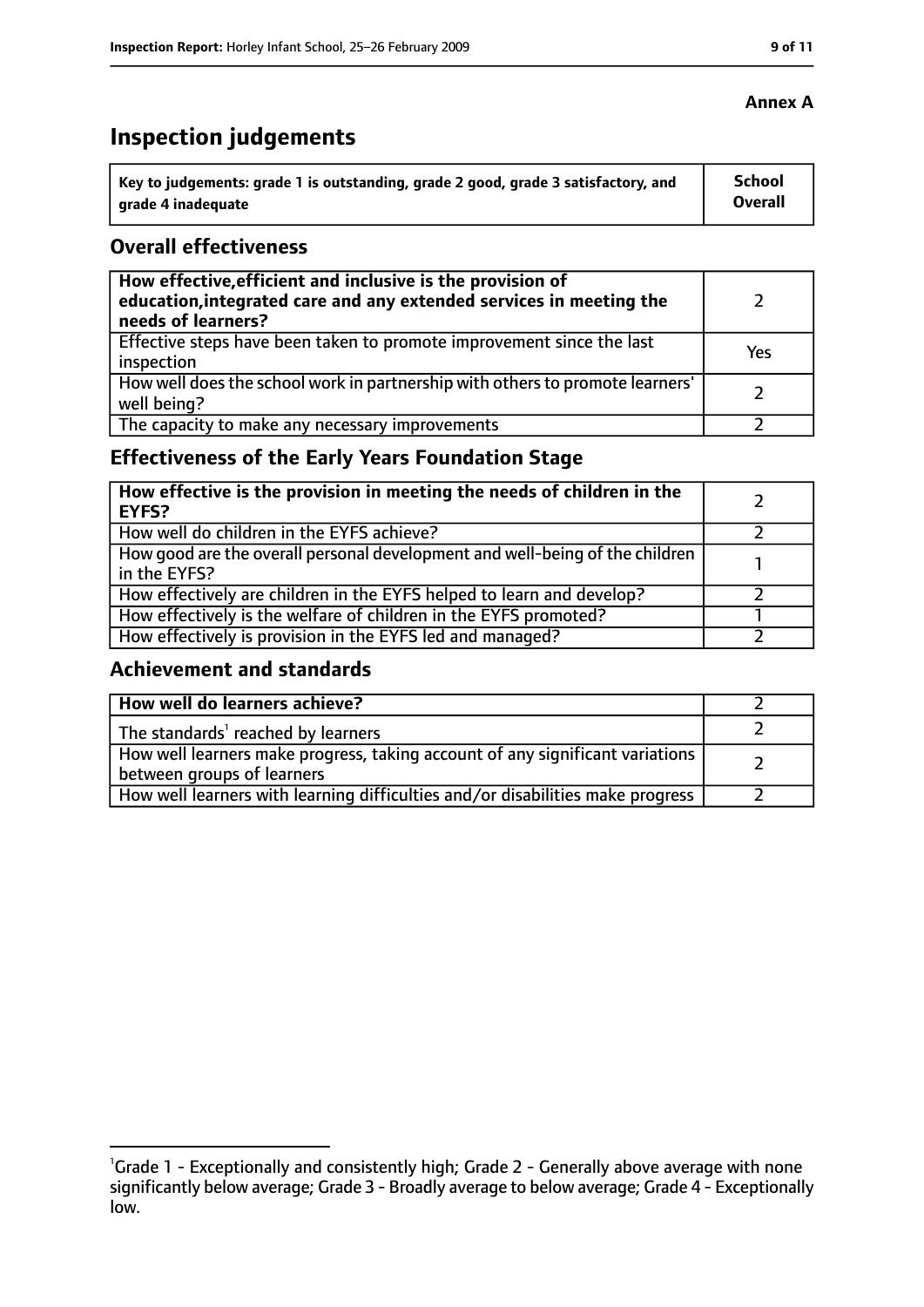# **Inspection judgements**

| key to judgements: grade 1 is outstanding, grade 2 good, grade 3 satisfactory, and ا | School         |
|--------------------------------------------------------------------------------------|----------------|
| arade 4 inadequate                                                                   | <b>Overall</b> |

#### **Overall effectiveness**

| How effective, efficient and inclusive is the provision of<br>education, integrated care and any extended services in meeting the<br>needs of learners? |     |
|---------------------------------------------------------------------------------------------------------------------------------------------------------|-----|
| Effective steps have been taken to promote improvement since the last<br>inspection                                                                     | Yes |
| How well does the school work in partnership with others to promote learners'<br>well being?                                                            |     |
| The capacity to make any necessary improvements                                                                                                         |     |

# **Effectiveness of the Early Years Foundation Stage**

| How effective is the provision in meeting the needs of children in the<br>l EYFS?            |  |
|----------------------------------------------------------------------------------------------|--|
| How well do children in the EYFS achieve?                                                    |  |
| How good are the overall personal development and well-being of the children<br>in the EYFS? |  |
| How effectively are children in the EYFS helped to learn and develop?                        |  |
| How effectively is the welfare of children in the EYFS promoted?                             |  |
| How effectively is provision in the EYFS led and managed?                                    |  |

#### **Achievement and standards**

| How well do learners achieve?                                                  |  |
|--------------------------------------------------------------------------------|--|
| The standards <sup>1</sup> reached by learners                                 |  |
| How well learners make progress, taking account of any significant variations  |  |
| between groups of learners                                                     |  |
| How well learners with learning difficulties and/or disabilities make progress |  |

## **Annex A**

<sup>&</sup>lt;sup>1</sup>Grade 1 - Exceptionally and consistently high; Grade 2 - Generally above average with none significantly below average; Grade 3 - Broadly average to below average; Grade 4 - Exceptionally low.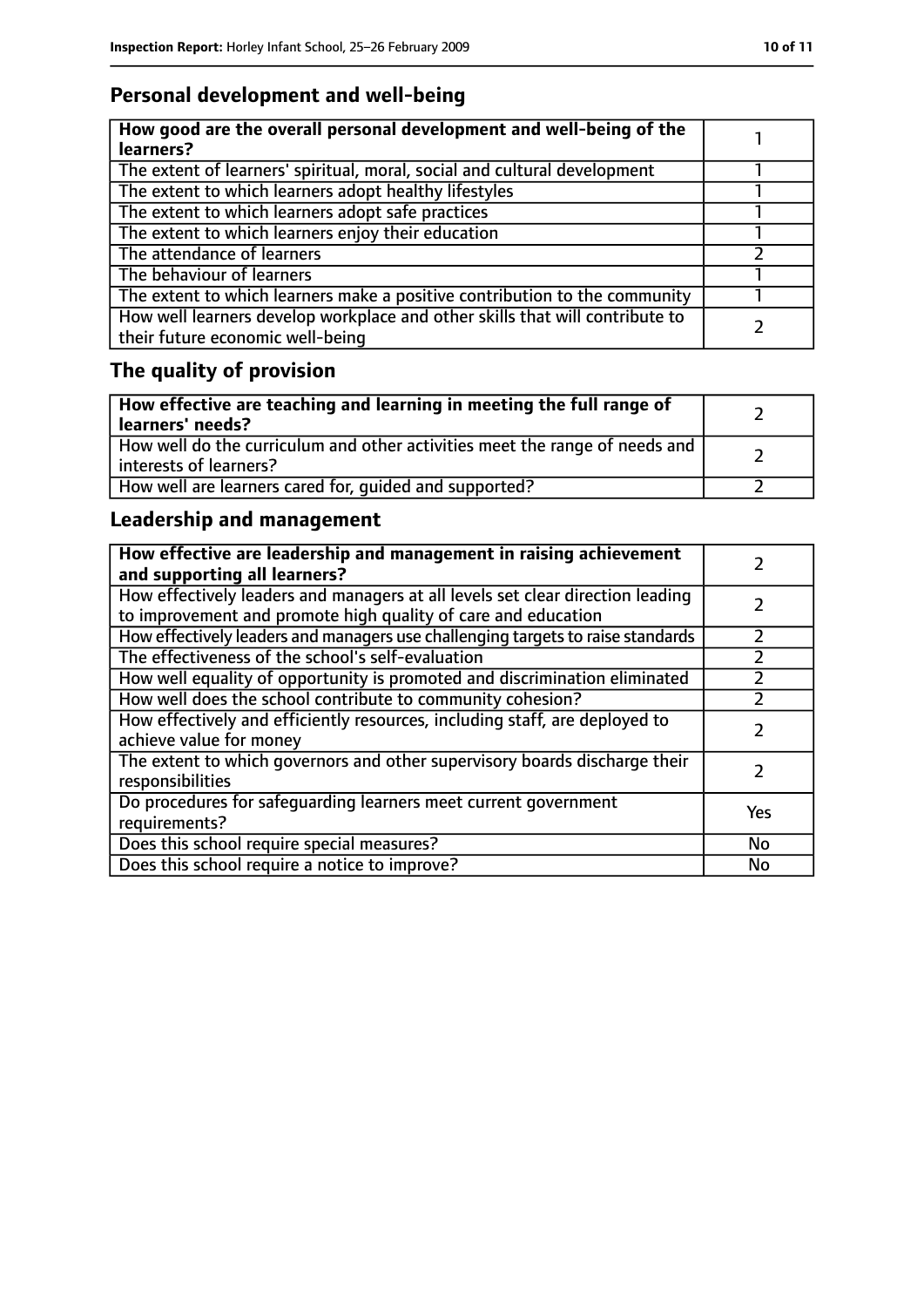# **Personal development and well-being**

| How good are the overall personal development and well-being of the<br>learners?                                 |  |
|------------------------------------------------------------------------------------------------------------------|--|
| The extent of learners' spiritual, moral, social and cultural development                                        |  |
| The extent to which learners adopt healthy lifestyles                                                            |  |
| The extent to which learners adopt safe practices                                                                |  |
| The extent to which learners enjoy their education                                                               |  |
| The attendance of learners                                                                                       |  |
| The behaviour of learners                                                                                        |  |
| The extent to which learners make a positive contribution to the community                                       |  |
| How well learners develop workplace and other skills that will contribute to<br>their future economic well-being |  |

# **The quality of provision**

| How effective are teaching and learning in meeting the full range of<br>learners' needs?              |  |
|-------------------------------------------------------------------------------------------------------|--|
| How well do the curriculum and other activities meet the range of needs and<br>interests of learners? |  |
| How well are learners cared for, quided and supported?                                                |  |

# **Leadership and management**

| How effective are leadership and management in raising achievement<br>and supporting all learners?                                              |     |
|-------------------------------------------------------------------------------------------------------------------------------------------------|-----|
| How effectively leaders and managers at all levels set clear direction leading<br>to improvement and promote high quality of care and education |     |
| How effectively leaders and managers use challenging targets to raise standards                                                                 |     |
| The effectiveness of the school's self-evaluation                                                                                               |     |
| How well equality of opportunity is promoted and discrimination eliminated                                                                      |     |
| How well does the school contribute to community cohesion?                                                                                      |     |
| How effectively and efficiently resources, including staff, are deployed to<br>achieve value for money                                          |     |
| The extent to which governors and other supervisory boards discharge their<br>responsibilities                                                  |     |
| Do procedures for safeguarding learners meet current government<br>requirements?                                                                | Yes |
| Does this school require special measures?                                                                                                      | No  |
| Does this school require a notice to improve?                                                                                                   | No  |